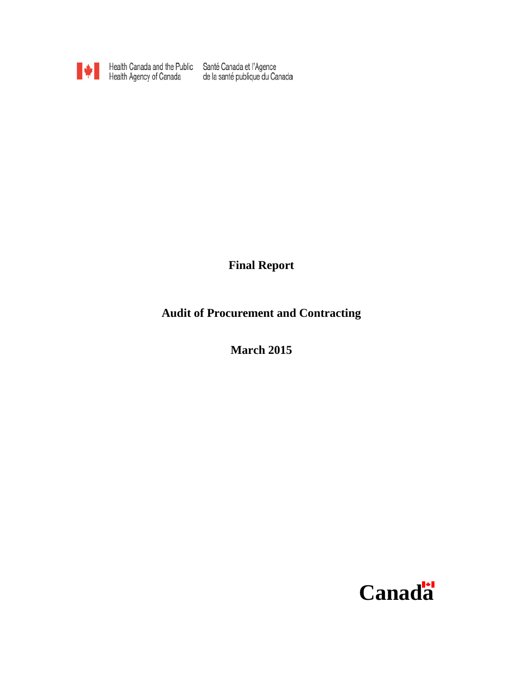

Health Canada and the Public Santé Canada et l'Agence<br>Health Agency of Canada de la santé publique du Canada

**Final Report**

**Audit of Procurement and Contracting**

**March 2015**

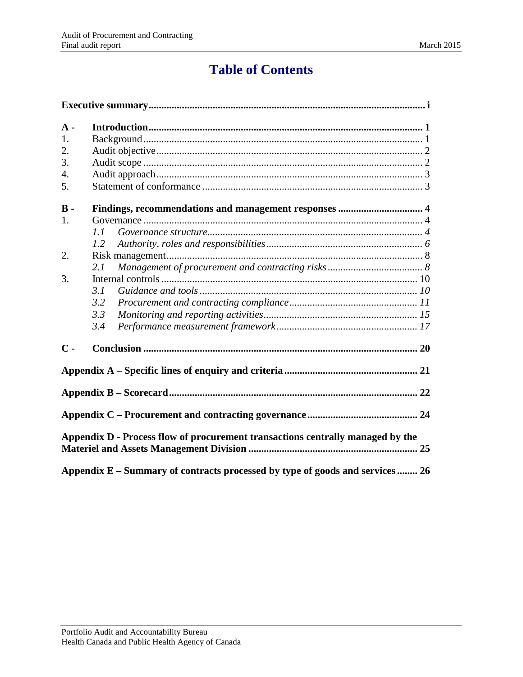# **Table of Contents**

| $\bf{A}$ -       |                                                                                |  |  |  |  |  |
|------------------|--------------------------------------------------------------------------------|--|--|--|--|--|
| 1.               |                                                                                |  |  |  |  |  |
| 2.               |                                                                                |  |  |  |  |  |
| 3.               |                                                                                |  |  |  |  |  |
| $\overline{4}$ . |                                                                                |  |  |  |  |  |
| 5.               |                                                                                |  |  |  |  |  |
| $B -$            |                                                                                |  |  |  |  |  |
| 1.               |                                                                                |  |  |  |  |  |
|                  | 1.1                                                                            |  |  |  |  |  |
|                  | 1.2                                                                            |  |  |  |  |  |
| 2.               |                                                                                |  |  |  |  |  |
|                  | 2.1                                                                            |  |  |  |  |  |
| 3.               |                                                                                |  |  |  |  |  |
|                  | 3.1                                                                            |  |  |  |  |  |
|                  | 3.2                                                                            |  |  |  |  |  |
|                  | 3.3                                                                            |  |  |  |  |  |
|                  | 3.4                                                                            |  |  |  |  |  |
| $\mathbf C$ -    |                                                                                |  |  |  |  |  |
|                  |                                                                                |  |  |  |  |  |
|                  |                                                                                |  |  |  |  |  |
|                  |                                                                                |  |  |  |  |  |
|                  | Appendix D - Process flow of procurement transactions centrally managed by the |  |  |  |  |  |
|                  | Appendix E - Summary of contracts processed by type of goods and services  26  |  |  |  |  |  |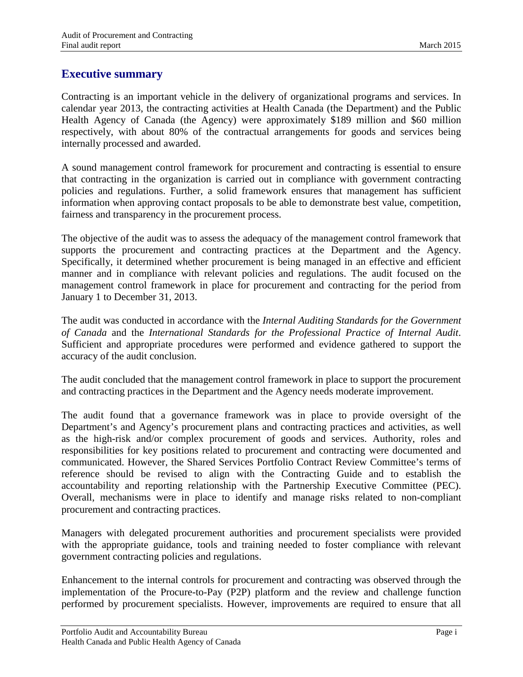## <span id="page-2-0"></span>**Executive summary**

Contracting is an important vehicle in the delivery of organizational programs and services. In calendar year 2013, the contracting activities at Health Canada (the Department) and the Public Health Agency of Canada (the Agency) were approximately \$189 million and \$60 million respectively, with about 80% of the contractual arrangements for goods and services being internally processed and awarded.

A sound management control framework for procurement and contracting is essential to ensure that contracting in the organization is carried out in compliance with government contracting policies and regulations. Further, a solid framework ensures that management has sufficient information when approving contact proposals to be able to demonstrate best value, competition, fairness and transparency in the procurement process.

The objective of the audit was to assess the adequacy of the management control framework that supports the procurement and contracting practices at the Department and the Agency. Specifically, it determined whether procurement is being managed in an effective and efficient manner and in compliance with relevant policies and regulations. The audit focused on the management control framework in place for procurement and contracting for the period from January 1 to December 31, 2013.

The audit was conducted in accordance with the *Internal Auditing Standards for the Government of Canada* and the *International Standards for the Professional Practice of Internal Audit*. Sufficient and appropriate procedures were performed and evidence gathered to support the accuracy of the audit conclusion.

The audit concluded that the management control framework in place to support the procurement and contracting practices in the Department and the Agency needs moderate improvement.

The audit found that a governance framework was in place to provide oversight of the Department's and Agency's procurement plans and contracting practices and activities, as well as the high-risk and/or complex procurement of goods and services. Authority, roles and responsibilities for key positions related to procurement and contracting were documented and communicated. However, the Shared Services Portfolio Contract Review Committee's terms of reference should be revised to align with the Contracting Guide and to establish the accountability and reporting relationship with the Partnership Executive Committee (PEC). Overall, mechanisms were in place to identify and manage risks related to non-compliant procurement and contracting practices.

Managers with delegated procurement authorities and procurement specialists were provided with the appropriate guidance, tools and training needed to foster compliance with relevant government contracting policies and regulations.

Enhancement to the internal controls for procurement and contracting was observed through the implementation of the Procure-to-Pay (P2P) platform and the review and challenge function performed by procurement specialists. However, improvements are required to ensure that all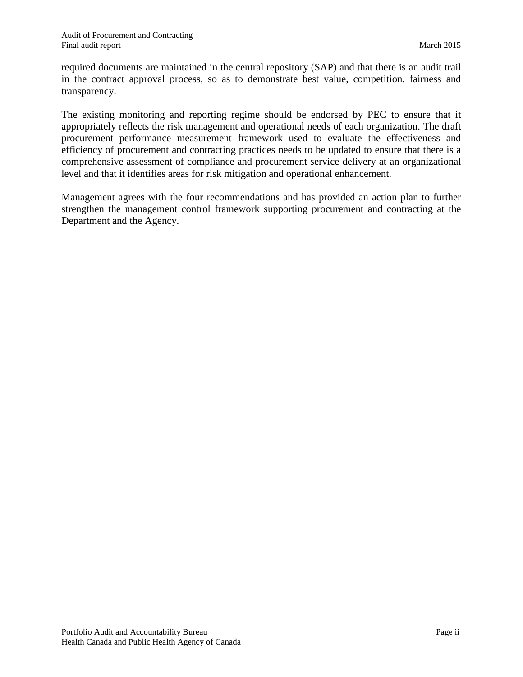required documents are maintained in the central repository (SAP) and that there is an audit trail in the contract approval process, so as to demonstrate best value, competition, fairness and transparency.

The existing monitoring and reporting regime should be endorsed by PEC to ensure that it appropriately reflects the risk management and operational needs of each organization. The draft procurement performance measurement framework used to evaluate the effectiveness and efficiency of procurement and contracting practices needs to be updated to ensure that there is a comprehensive assessment of compliance and procurement service delivery at an organizational level and that it identifies areas for risk mitigation and operational enhancement.

Management agrees with the four recommendations and has provided an action plan to further strengthen the management control framework supporting procurement and contracting at the Department and the Agency.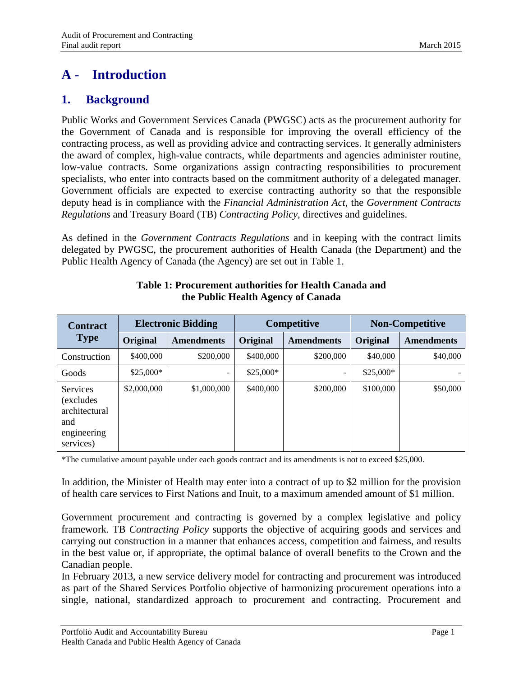# <span id="page-4-0"></span>**A - Introduction**

## <span id="page-4-1"></span>**1. Background**

Public Works and Government Services Canada (PWGSC) acts as the procurement authority for the Government of Canada and is responsible for improving the overall efficiency of the contracting process, as well as providing advice and contracting services. It generally administers the award of complex, high-value contracts, while departments and agencies administer routine, low-value contracts. Some organizations assign contracting responsibilities to procurement specialists, who enter into contracts based on the commitment authority of a delegated manager. Government officials are expected to exercise contracting authority so that the responsible deputy head is in compliance with the *Financial Administration Act*, the *Government Contracts Regulations* and Treasury Board (TB) *Contracting Policy,* directives and guidelines.

As defined in the *Government Contracts Regulations* and in keeping with the contract limits delegated by PWGSC, the procurement authorities of Health Canada (the Department) and the Public Health Agency of Canada (the Agency) are set out in Table 1.

| <b>Contract</b>                                                                   | <b>Electronic Bidding</b> |                   | Competitive |                          | <b>Non-Competitive</b> |                   |
|-----------------------------------------------------------------------------------|---------------------------|-------------------|-------------|--------------------------|------------------------|-------------------|
| <b>Type</b>                                                                       | Original                  | <b>Amendments</b> | Original    | <b>Amendments</b>        | Original               | <b>Amendments</b> |
| Construction                                                                      | \$400,000                 | \$200,000         | \$400,000   | \$200,000                | \$40,000               | \$40,000          |
| Goods                                                                             | $$25.000*$                |                   | $$25,000*$  | $\overline{\phantom{a}}$ | $$25,000*$             |                   |
| <b>Services</b><br>(excludes)<br>architectural<br>and<br>engineering<br>services) | \$2,000,000               | \$1,000,000       | \$400,000   | \$200,000                | \$100,000              | \$50,000          |

#### **Table 1: Procurement authorities for Health Canada and the Public Health Agency of Canada**

\*The cumulative amount payable under each goods contract and its amendments is not to exceed \$25,000.

In addition, the Minister of Health may enter into a contract of up to \$2 million for the provision of health care services to First Nations and Inuit, to a maximum amended amount of \$1 million.

Government procurement and contracting is governed by a complex legislative and policy framework. TB *Contracting Policy* supports the objective of acquiring goods and services and carrying out construction in a manner that enhances access, competition and fairness, and results in the best value or, if appropriate, the optimal balance of overall benefits to the Crown and the Canadian people.

In February 2013, a new service delivery model for contracting and procurement was introduced as part of the Shared Services Portfolio objective of harmonizing procurement operations into a single, national, standardized approach to procurement and contracting. Procurement and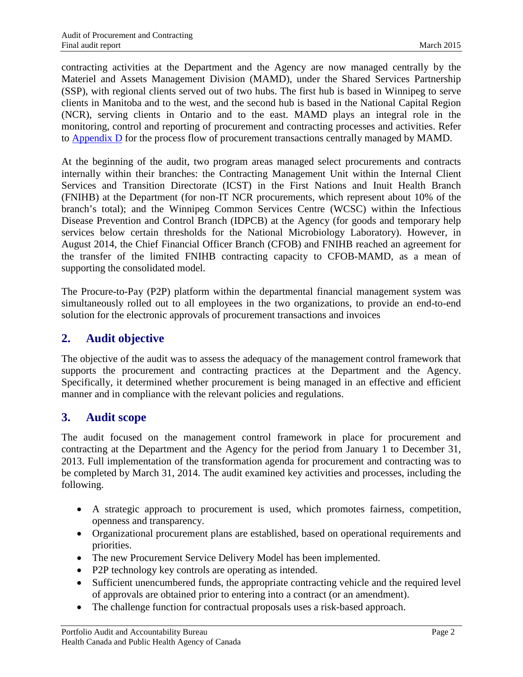contracting activities at the Department and the Agency are now managed centrally by the Materiel and Assets Management Division (MAMD), under the Shared Services Partnership (SSP), with regional clients served out of two hubs. The first hub is based in Winnipeg to serve clients in Manitoba and to the west, and the second hub is based in the National Capital Region (NCR), serving clients in Ontario and to the east. MAMD plays an integral role in the monitoring, control and reporting of procurement and contracting processes and activities. Refer to [Appendix D](#page-28-0) for the process flow of procurement transactions centrally managed by MAMD.

At the beginning of the audit, two program areas managed select procurements and contracts internally within their branches: the Contracting Management Unit within the Internal Client Services and Transition Directorate (ICST) in the First Nations and Inuit Health Branch (FNIHB) at the Department (for non-IT NCR procurements, which represent about 10% of the branch's total); and the Winnipeg Common Services Centre (WCSC) within the Infectious Disease Prevention and Control Branch (IDPCB) at the Agency (for goods and temporary help services below certain thresholds for the National Microbiology Laboratory). However, in August 2014, the Chief Financial Officer Branch (CFOB) and FNIHB reached an agreement for the transfer of the limited FNIHB contracting capacity to CFOB-MAMD, as a mean of supporting the consolidated model.

The Procure-to-Pay (P2P) platform within the departmental financial management system was simultaneously rolled out to all employees in the two organizations, to provide an end-to-end solution for the electronic approvals of procurement transactions and invoices

## <span id="page-5-0"></span>**2. Audit objective**

The objective of the audit was to assess the adequacy of the management control framework that supports the procurement and contracting practices at the Department and the Agency. Specifically, it determined whether procurement is being managed in an effective and efficient manner and in compliance with the relevant policies and regulations.

## <span id="page-5-1"></span>**3. Audit scope**

The audit focused on the management control framework in place for procurement and contracting at the Department and the Agency for the period from January 1 to December 31, 2013. Full implementation of the transformation agenda for procurement and contracting was to be completed by March 31, 2014. The audit examined key activities and processes, including the following.

- A strategic approach to procurement is used, which promotes fairness, competition, openness and transparency.
- Organizational procurement plans are established, based on operational requirements and priorities.
- The new Procurement Service Delivery Model has been implemented.
- P2P technology key controls are operating as intended.
- Sufficient unencumbered funds, the appropriate contracting vehicle and the required level of approvals are obtained prior to entering into a contract (or an amendment).
- The challenge function for contractual proposals uses a risk-based approach.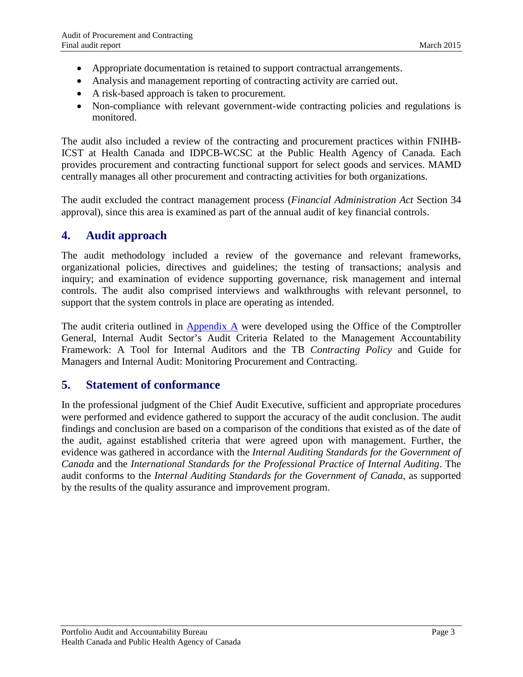- Appropriate documentation is retained to support contractual arrangements.
- Analysis and management reporting of contracting activity are carried out.
- A risk-based approach is taken to procurement.
- Non-compliance with relevant government-wide contracting policies and regulations is monitored.

The audit also included a review of the contracting and procurement practices within FNIHB-ICST at Health Canada and IDPCB-WCSC at the Public Health Agency of Canada. Each provides procurement and contracting functional support for select goods and services. MAMD centrally manages all other procurement and contracting activities for both organizations.

The audit excluded the contract management process (*Financial Administration Act* Section 34 approval), since this area is examined as part of the annual audit of key financial controls.

## <span id="page-6-0"></span>**4. Audit approach**

The audit methodology included a review of the governance and relevant frameworks, organizational policies, directives and guidelines; the testing of transactions; analysis and inquiry; and examination of evidence supporting governance, risk management and internal controls. The audit also comprised interviews and walkthroughs with relevant personnel, to support that the system controls in place are operating as intended.

The audit criteria outlined in [Appendix A](#page-24-0) were developed using the Office of the Comptroller General, Internal Audit Sector's Audit Criteria Related to the Management Accountability Framework: A Tool for Internal Auditors and the TB *Contracting Policy* and Guide for Managers and Internal Audit: Monitoring Procurement and Contracting.

## <span id="page-6-1"></span>**5. Statement of conformance**

In the professional judgment of the Chief Audit Executive, sufficient and appropriate procedures were performed and evidence gathered to support the accuracy of the audit conclusion. The audit findings and conclusion are based on a comparison of the conditions that existed as of the date of the audit, against established criteria that were agreed upon with management. Further, the evidence was gathered in accordance with the *Internal Auditing Standards for the Government of Canada* and the *International Standards for the Professional Practice of Internal Auditing*. The audit conforms to the *Internal Auditing Standards for the Government of Canada*, as supported by the results of the quality assurance and improvement program.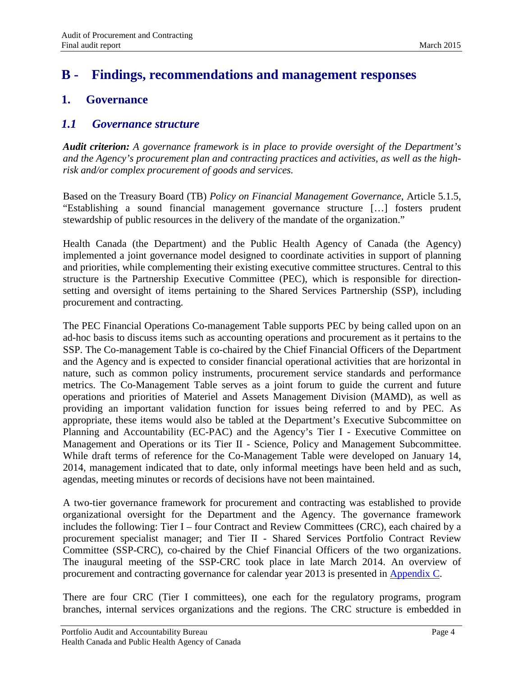## <span id="page-7-0"></span>**B - Findings, recommendations and management responses**

## <span id="page-7-1"></span>**1. Governance**

### <span id="page-7-2"></span>*1.1 Governance structure*

*Audit criterion: A governance framework is in place to provide oversight of the Department's and the Agency's procurement plan and contracting practices and activities, as well as the highrisk and/or complex procurement of goods and services.*

Based on the Treasury Board (TB) *Policy on Financial Management Governance*, Article 5.1.5, "Establishing a sound financial management governance structure […] fosters prudent stewardship of public resources in the delivery of the mandate of the organization."

Health Canada (the Department) and the Public Health Agency of Canada (the Agency) implemented a joint governance model designed to coordinate activities in support of planning and priorities, while complementing their existing executive committee structures. Central to this structure is the Partnership Executive Committee (PEC), which is responsible for directionsetting and oversight of items pertaining to the Shared Services Partnership (SSP), including procurement and contracting.

The PEC Financial Operations Co-management Table supports PEC by being called upon on an ad-hoc basis to discuss items such as accounting operations and procurement as it pertains to the SSP. The Co-management Table is co-chaired by the Chief Financial Officers of the Department and the Agency and is expected to consider financial operational activities that are horizontal in nature, such as common policy instruments, procurement service standards and performance metrics. The Co-Management Table serves as a joint forum to guide the current and future operations and priorities of Materiel and Assets Management Division (MAMD), as well as providing an important validation function for issues being referred to and by PEC. As appropriate, these items would also be tabled at the Department's Executive Subcommittee on Planning and Accountability (EC-PAC) and the Agency's Tier I - Executive Committee on Management and Operations or its Tier II - Science, Policy and Management Subcommittee. While draft terms of reference for the Co-Management Table were developed on January 14, 2014, management indicated that to date, only informal meetings have been held and as such, agendas, meeting minutes or records of decisions have not been maintained.

A two-tier governance framework for procurement and contracting was established to provide organizational oversight for the Department and the Agency. The governance framework includes the following: Tier I – four Contract and Review Committees (CRC), each chaired by a procurement specialist manager; and Tier II - Shared Services Portfolio Contract Review Committee (SSP-CRC), co-chaired by the Chief Financial Officers of the two organizations. The inaugural meeting of the SSP-CRC took place in late March 2014. An overview of procurement and contracting governance for calendar year 2013 is presented in [Appendix C.](#page-27-0)

There are four CRC (Tier I committees), one each for the regulatory programs, program branches, internal services organizations and the regions. The CRC structure is embedded in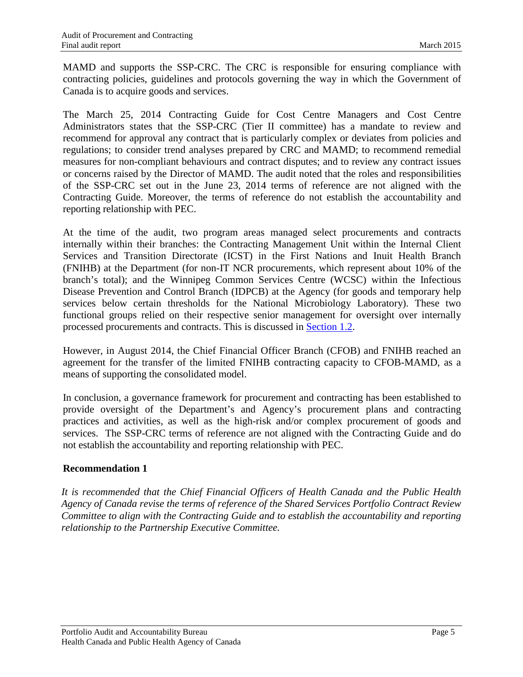MAMD and supports the SSP-CRC. The CRC is responsible for ensuring compliance with contracting policies, guidelines and protocols governing the way in which the Government of Canada is to acquire goods and services.

The March 25, 2014 Contracting Guide for Cost Centre Managers and Cost Centre Administrators states that the SSP-CRC (Tier II committee) has a mandate to review and recommend for approval any contract that is particularly complex or deviates from policies and regulations; to consider trend analyses prepared by CRC and MAMD; to recommend remedial measures for non-compliant behaviours and contract disputes; and to review any contract issues or concerns raised by the Director of MAMD. The audit noted that the roles and responsibilities of the SSP-CRC set out in the June 23, 2014 terms of reference are not aligned with the Contracting Guide. Moreover, the terms of reference do not establish the accountability and reporting relationship with PEC.

At the time of the audit, two program areas managed select procurements and contracts internally within their branches: the Contracting Management Unit within the Internal Client Services and Transition Directorate (ICST) in the First Nations and Inuit Health Branch (FNIHB) at the Department (for non-IT NCR procurements, which represent about 10% of the branch's total); and the Winnipeg Common Services Centre (WCSC) within the Infectious Disease Prevention and Control Branch (IDPCB) at the Agency (for goods and temporary help services below certain thresholds for the National Microbiology Laboratory). These two functional groups relied on their respective senior management for oversight over internally processed procurements and contracts. This is discussed in [Section 1.2.](#page-9-0)

However, in August 2014, the Chief Financial Officer Branch (CFOB) and FNIHB reached an agreement for the transfer of the limited FNIHB contracting capacity to CFOB-MAMD, as a means of supporting the consolidated model.

In conclusion, a governance framework for procurement and contracting has been established to provide oversight of the Department's and Agency's procurement plans and contracting practices and activities, as well as the high-risk and/or complex procurement of goods and services. The SSP-CRC terms of reference are not aligned with the Contracting Guide and do not establish the accountability and reporting relationship with PEC.

#### <span id="page-8-0"></span>**Recommendation 1**

*It is recommended that the Chief Financial Officers of Health Canada and the Public Health Agency of Canada revise the terms of reference of the Shared Services Portfolio Contract Review Committee to align with the Contracting Guide and to establish the accountability and reporting relationship to the Partnership Executive Committee.*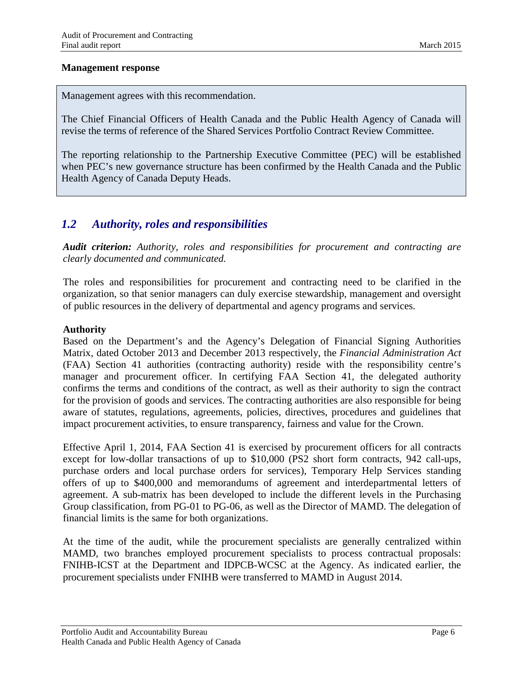#### **Management response**

Management agrees with this recommendation.

The Chief Financial Officers of Health Canada and the Public Health Agency of Canada will revise the terms of reference of the Shared Services Portfolio Contract Review Committee.

The reporting relationship to the Partnership Executive Committee (PEC) will be established when PEC's new governance structure has been confirmed by the Health Canada and the Public Health Agency of Canada Deputy Heads.

### <span id="page-9-0"></span>*1.2 Authority, roles and responsibilities*

*Audit criterion: Authority, roles and responsibilities for procurement and contracting are clearly documented and communicated.*

The roles and responsibilities for procurement and contracting need to be clarified in the organization, so that senior managers can duly exercise stewardship, management and oversight of public resources in the delivery of departmental and agency programs and services.

#### **Authority**

Based on the Department's and the Agency's Delegation of Financial Signing Authorities Matrix, dated October 2013 and December 2013 respectively, the *Financial Administration Act* (FAA) Section 41 authorities (contracting authority) reside with the responsibility centre's manager and procurement officer. In certifying FAA Section 41, the delegated authority confirms the terms and conditions of the contract, as well as their authority to sign the contract for the provision of goods and services. The contracting authorities are also responsible for being aware of statutes, regulations, agreements, policies, directives, procedures and guidelines that impact procurement activities, to ensure transparency, fairness and value for the Crown.

Effective April 1, 2014, FAA Section 41 is exercised by procurement officers for all contracts except for low-dollar transactions of up to \$10,000 (PS2 short form contracts, 942 call-ups, purchase orders and local purchase orders for services), Temporary Help Services standing offers of up to \$400,000 and memorandums of agreement and interdepartmental letters of agreement. A sub-matrix has been developed to include the different levels in the Purchasing Group classification, from PG-01 to PG-06, as well as the Director of MAMD. The delegation of financial limits is the same for both organizations.

At the time of the audit, while the procurement specialists are generally centralized within MAMD, two branches employed procurement specialists to process contractual proposals: FNIHB-ICST at the Department and IDPCB-WCSC at the Agency. As indicated earlier, the procurement specialists under FNIHB were transferred to MAMD in August 2014.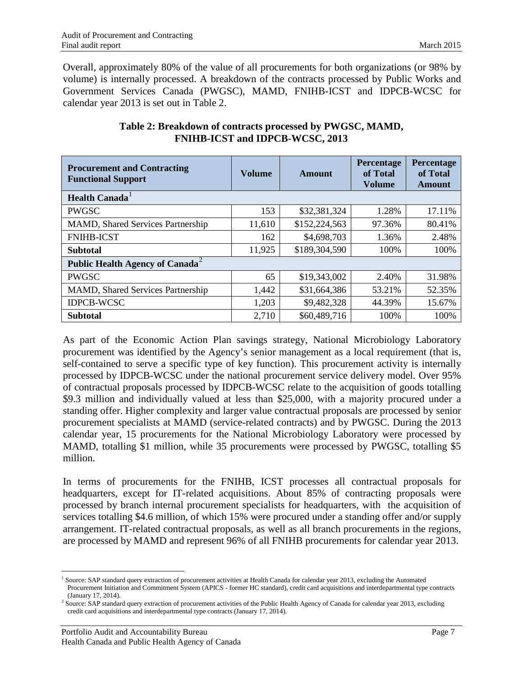Overall, approximately 80% of the value of all procurements for both organizations (or 98% by volume) is internally processed. A breakdown of the contracts processed by Public Works and Government Services Canada (PWGSC), MAMD, FNIHB-ICST and IDPCB-WCSC for calendar year 2013 is set out in Table 2.

| <b>Procurement and Contracting</b><br><b>Functional Support</b> | <b>Volume</b> | Amount        | <b>Percentage</b><br>of Total<br><b>Volume</b> | <b>Percentage</b><br>of Total<br>Amount |  |  |
|-----------------------------------------------------------------|---------------|---------------|------------------------------------------------|-----------------------------------------|--|--|
| <b>Health Canada</b>                                            |               |               |                                                |                                         |  |  |
| <b>PWGSC</b>                                                    | 153           | \$32,381,324  | 1.28%                                          | 17.11%                                  |  |  |
| <b>MAMD, Shared Services Partnership</b>                        | 11,610        | \$152,224,563 | 97.36%                                         | 80.41%                                  |  |  |
| <b>FNIHB-ICST</b>                                               | 162           | \$4,698,703   | 1.36%                                          | 2.48%                                   |  |  |
| <b>Subtotal</b>                                                 | 11,925        | \$189,304,590 | 100%                                           | 100%                                    |  |  |
| Public Health Agency of Canada <sup>2</sup>                     |               |               |                                                |                                         |  |  |
| <b>PWGSC</b>                                                    | 65            | \$19,343,002  | 2.40%                                          | 31.98%                                  |  |  |
| <b>MAMD, Shared Services Partnership</b>                        | 1,442         | \$31,664,386  | 53.21%                                         | 52.35%                                  |  |  |
| <b>IDPCB-WCSC</b>                                               | 1,203         | \$9,482,328   | 44.39%                                         | 15.67%                                  |  |  |
| <b>Subtotal</b>                                                 | 2,710         | \$60,489,716  | 100%                                           | 100%                                    |  |  |

#### **Table 2: Breakdown of contracts processed by PWGSC, MAMD, FNIHB-ICST and IDPCB-WCSC, 2013**

As part of the Economic Action Plan savings strategy, National Microbiology Laboratory procurement was identified by the Agency's senior management as a local requirement (that is, self-contained to serve a specific type of key function). This procurement activity is internally processed by IDPCB-WCSC under the national procurement service delivery model. Over 95% of contractual proposals processed by IDPCB-WCSC relate to the acquisition of goods totalling \$9.3 million and individually valued at less than \$25,000, with a majority procured under a standing offer. Higher complexity and larger value contractual proposals are processed by senior procurement specialists at MAMD (service-related contracts) and by PWGSC. During the 2013 calendar year, 15 procurements for the National Microbiology Laboratory were processed by MAMD, totalling \$1 million, while 35 procurements were processed by PWGSC, totalling \$5 million.

In terms of procurements for the FNIHB, ICST processes all contractual proposals for headquarters, except for IT-related acquisitions. About 85% of contracting proposals were processed by branch internal procurement specialists for headquarters, with the acquisition of services totalling \$4.6 million, of which 15% were procured under a standing offer and/or supply arrangement. IT-related contractual proposals, as well as all branch procurements in the regions, are processed by MAMD and represent 96% of all FNIHB procurements for calendar year 2013.

<span id="page-10-0"></span><sup>&</sup>lt;sup>1</sup> Source: SAP standard query extraction of procurement activities at Health Canada for calendar year 2013, excluding the Automated Procurement Initiation and Commitment System (APICS - former HC standard), credit card acquisitions and interdepartmental type contracts (January 17, 2014).

<span id="page-10-1"></span><sup>&</sup>lt;sup>2</sup> Source: SAP standard query extraction of procurement activities of the Public Health Agency of Canada for calendar year 2013, excluding credit card acquisitions and interdepartmental type contracts (January 17, 2014).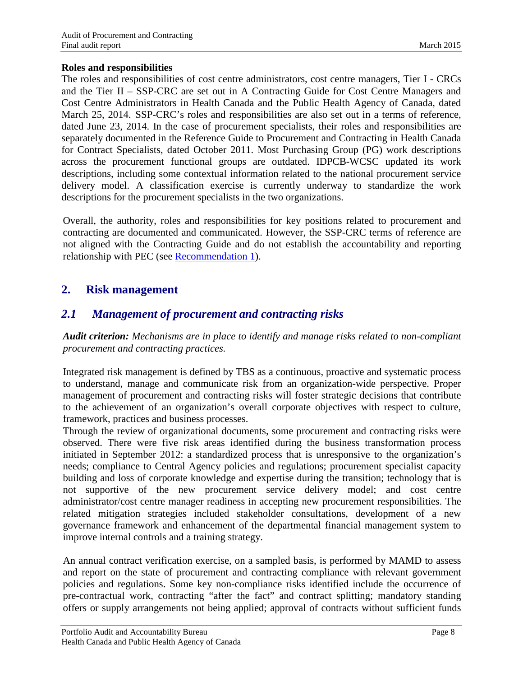#### **Roles and responsibilities**

The roles and responsibilities of cost centre administrators, cost centre managers, Tier I - CRCs and the Tier II – SSP-CRC are set out in A Contracting Guide for Cost Centre Managers and Cost Centre Administrators in Health Canada and the Public Health Agency of Canada, dated March 25, 2014. SSP-CRC's roles and responsibilities are also set out in a terms of reference, dated June 23, 2014. In the case of procurement specialists, their roles and responsibilities are separately documented in the Reference Guide to Procurement and Contracting in Health Canada for Contract Specialists, dated October 2011. Most Purchasing Group (PG) work descriptions across the procurement functional groups are outdated. IDPCB-WCSC updated its work descriptions, including some contextual information related to the national procurement service delivery model. A classification exercise is currently underway to standardize the work descriptions for the procurement specialists in the two organizations.

Overall, the authority, roles and responsibilities for key positions related to procurement and contracting are documented and communicated. However, the SSP-CRC terms of reference are not aligned with the Contracting Guide and do not establish the accountability and reporting relationship with PEC (see [Recommendation 1\)](#page-8-0).

## <span id="page-11-0"></span>**2. Risk management**

## <span id="page-11-1"></span>*2.1 Management of procurement and contracting risks*

*Audit criterion: Mechanisms are in place to identify and manage risks related to non-compliant procurement and contracting practices.*

Integrated risk management is defined by TBS as a continuous, proactive and systematic process to understand, manage and communicate risk from an organization-wide perspective. Proper management of procurement and contracting risks will foster strategic decisions that contribute to the achievement of an organization's overall corporate objectives with respect to culture, framework, practices and business processes.

Through the review of organizational documents, some procurement and contracting risks were observed. There were five risk areas identified during the business transformation process initiated in September 2012: a standardized process that is unresponsive to the organization's needs; compliance to Central Agency policies and regulations; procurement specialist capacity building and loss of corporate knowledge and expertise during the transition; technology that is not supportive of the new procurement service delivery model; and cost centre administrator/cost centre manager readiness in accepting new procurement responsibilities. The related mitigation strategies included stakeholder consultations, development of a new governance framework and enhancement of the departmental financial management system to improve internal controls and a training strategy.

An annual contract verification exercise, on a sampled basis, is performed by MAMD to assess and report on the state of procurement and contracting compliance with relevant government policies and regulations. Some key non-compliance risks identified include the occurrence of pre-contractual work, contracting "after the fact" and contract splitting; mandatory standing offers or supply arrangements not being applied; approval of contracts without sufficient funds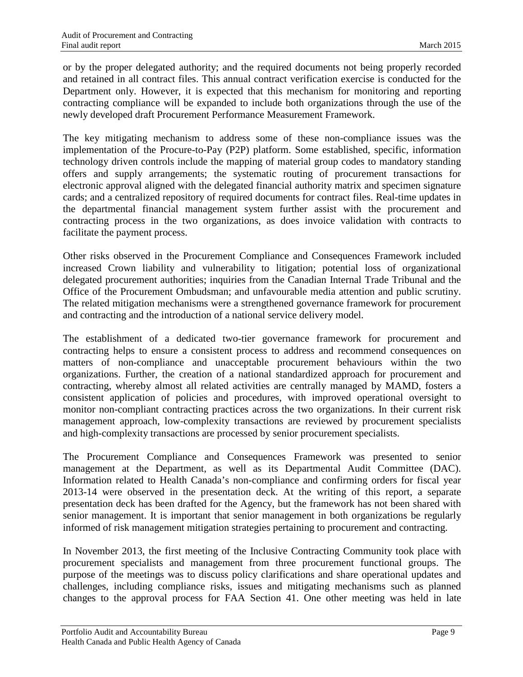or by the proper delegated authority; and the required documents not being properly recorded and retained in all contract files. This annual contract verification exercise is conducted for the Department only. However, it is expected that this mechanism for monitoring and reporting contracting compliance will be expanded to include both organizations through the use of the newly developed draft Procurement Performance Measurement Framework.

The key mitigating mechanism to address some of these non-compliance issues was the implementation of the Procure-to-Pay (P2P) platform. Some established, specific, information technology driven controls include the mapping of material group codes to mandatory standing offers and supply arrangements; the systematic routing of procurement transactions for electronic approval aligned with the delegated financial authority matrix and specimen signature cards; and a centralized repository of required documents for contract files. Real-time updates in the departmental financial management system further assist with the procurement and contracting process in the two organizations, as does invoice validation with contracts to facilitate the payment process.

Other risks observed in the Procurement Compliance and Consequences Framework included increased Crown liability and vulnerability to litigation; potential loss of organizational delegated procurement authorities; inquiries from the Canadian Internal Trade Tribunal and the Office of the Procurement Ombudsman; and unfavourable media attention and public scrutiny. The related mitigation mechanisms were a strengthened governance framework for procurement and contracting and the introduction of a national service delivery model.

The establishment of a dedicated two-tier governance framework for procurement and contracting helps to ensure a consistent process to address and recommend consequences on matters of non-compliance and unacceptable procurement behaviours within the two organizations. Further, the creation of a national standardized approach for procurement and contracting, whereby almost all related activities are centrally managed by MAMD, fosters a consistent application of policies and procedures, with improved operational oversight to monitor non-compliant contracting practices across the two organizations. In their current risk management approach, low-complexity transactions are reviewed by procurement specialists and high-complexity transactions are processed by senior procurement specialists.

The Procurement Compliance and Consequences Framework was presented to senior management at the Department, as well as its Departmental Audit Committee (DAC). Information related to Health Canada's non-compliance and confirming orders for fiscal year 2013-14 were observed in the presentation deck. At the writing of this report, a separate presentation deck has been drafted for the Agency, but the framework has not been shared with senior management. It is important that senior management in both organizations be regularly informed of risk management mitigation strategies pertaining to procurement and contracting.

In November 2013, the first meeting of the Inclusive Contracting Community took place with procurement specialists and management from three procurement functional groups. The purpose of the meetings was to discuss policy clarifications and share operational updates and challenges, including compliance risks, issues and mitigating mechanisms such as planned changes to the approval process for FAA Section 41. One other meeting was held in late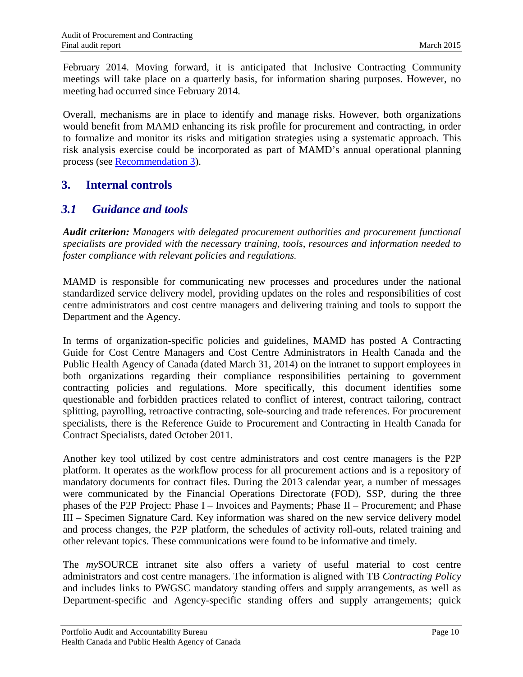February 2014. Moving forward, it is anticipated that Inclusive Contracting Community meetings will take place on a quarterly basis, for information sharing purposes. However, no meeting had occurred since February 2014.

Overall, mechanisms are in place to identify and manage risks. However, both organizations would benefit from MAMD enhancing its risk profile for procurement and contracting, in order to formalize and monitor its risks and mitigation strategies using a systematic approach. This risk analysis exercise could be incorporated as part of MAMD's annual operational planning process (see [Recommendation 3\)](#page-19-0).

## <span id="page-13-0"></span>**3. Internal controls**

## <span id="page-13-1"></span>*3.1 Guidance and tools*

*Audit criterion: Managers with delegated procurement authorities and procurement functional specialists are provided with the necessary training, tools, resources and information needed to foster compliance with relevant policies and regulations.*

MAMD is responsible for communicating new processes and procedures under the national standardized service delivery model, providing updates on the roles and responsibilities of cost centre administrators and cost centre managers and delivering training and tools to support the Department and the Agency.

In terms of organization-specific policies and guidelines, MAMD has posted A Contracting Guide for Cost Centre Managers and Cost Centre Administrators in Health Canada and the Public Health Agency of Canada (dated March 31, 2014) on the intranet to support employees in both organizations regarding their compliance responsibilities pertaining to government contracting policies and regulations. More specifically, this document identifies some questionable and forbidden practices related to conflict of interest, contract tailoring, contract splitting, payrolling, retroactive contracting, sole-sourcing and trade references. For procurement specialists, there is the Reference Guide to Procurement and Contracting in Health Canada for Contract Specialists, dated October 2011.

Another key tool utilized by cost centre administrators and cost centre managers is the P2P platform. It operates as the workflow process for all procurement actions and is a repository of mandatory documents for contract files. During the 2013 calendar year, a number of messages were communicated by the Financial Operations Directorate (FOD), SSP, during the three phases of the P2P Project: Phase I – Invoices and Payments; Phase II – Procurement; and Phase III – Specimen Signature Card. Key information was shared on the new service delivery model and process changes, the P2P platform, the schedules of activity roll-outs, related training and other relevant topics. These communications were found to be informative and timely.

The *my*SOURCE intranet site also offers a variety of useful material to cost centre administrators and cost centre managers. The information is aligned with TB *Contracting Policy* and includes links to PWGSC mandatory standing offers and supply arrangements, as well as Department-specific and Agency-specific standing offers and supply arrangements; quick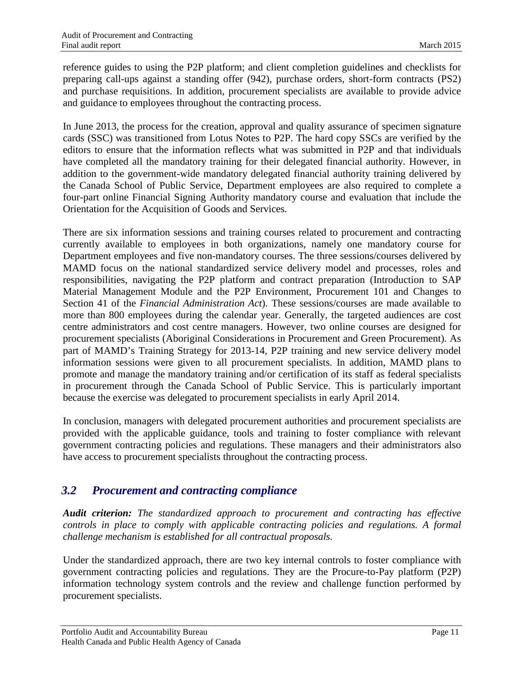reference guides to using the P2P platform; and client completion guidelines and checklists for preparing call-ups against a standing offer (942), purchase orders, short-form contracts (PS2) and purchase requisitions. In addition, procurement specialists are available to provide advice and guidance to employees throughout the contracting process.

In June 2013, the process for the creation, approval and quality assurance of specimen signature cards (SSC) was transitioned from Lotus Notes to P2P. The hard copy SSCs are verified by the editors to ensure that the information reflects what was submitted in P2P and that individuals have completed all the mandatory training for their delegated financial authority. However, in addition to the government-wide mandatory delegated financial authority training delivered by the Canada School of Public Service, Department employees are also required to complete a four-part online Financial Signing Authority mandatory course and evaluation that include the Orientation for the Acquisition of Goods and Services.

There are six information sessions and training courses related to procurement and contracting currently available to employees in both organizations, namely one mandatory course for Department employees and five non-mandatory courses. The three sessions/courses delivered by MAMD focus on the national standardized service delivery model and processes, roles and responsibilities, navigating the P2P platform and contract preparation (Introduction to SAP Material Management Module and the P2P Environment, Procurement 101 and Changes to Section 41 of the *Financial Administration Act*). These sessions/courses are made available to more than 800 employees during the calendar year. Generally, the targeted audiences are cost centre administrators and cost centre managers. However, two online courses are designed for procurement specialists (Aboriginal Considerations in Procurement and Green Procurement). As part of MAMD's Training Strategy for 2013-14, P2P training and new service delivery model information sessions were given to all procurement specialists. In addition, MAMD plans to promote and manage the mandatory training and/or certification of its staff as federal specialists in procurement through the Canada School of Public Service. This is particularly important because the exercise was delegated to procurement specialists in early April 2014.

In conclusion, managers with delegated procurement authorities and procurement specialists are provided with the applicable guidance, tools and training to foster compliance with relevant government contracting policies and regulations. These managers and their administrators also have access to procurement specialists throughout the contracting process.

## <span id="page-14-0"></span>*3.2 Procurement and contracting compliance*

*Audit criterion: The standardized approach to procurement and contracting has effective controls in place to comply with applicable contracting policies and regulations. A formal challenge mechanism is established for all contractual proposals.*

Under the standardized approach, there are two key internal controls to foster compliance with government contracting policies and regulations. They are the Procure-to-Pay platform (P2P) information technology system controls and the review and challenge function performed by procurement specialists.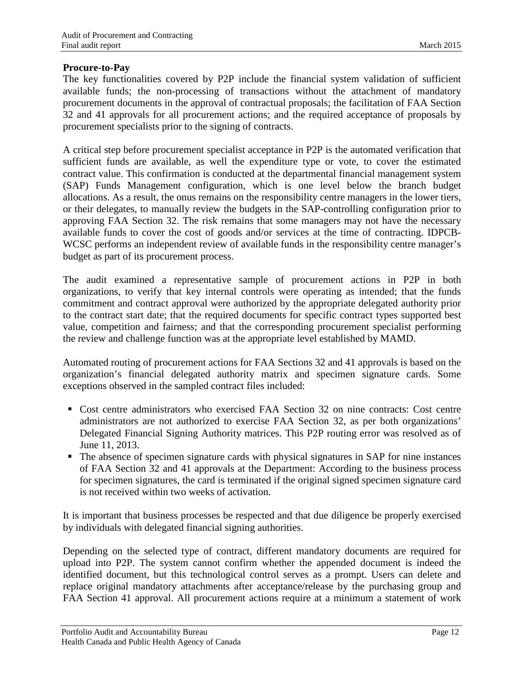#### **Procure-to-Pay**

The key functionalities covered by P2P include the financial system validation of sufficient available funds; the non-processing of transactions without the attachment of mandatory procurement documents in the approval of contractual proposals; the facilitation of FAA Section 32 and 41 approvals for all procurement actions; and the required acceptance of proposals by procurement specialists prior to the signing of contracts.

A critical step before procurement specialist acceptance in P2P is the automated verification that sufficient funds are available, as well the expenditure type or vote, to cover the estimated contract value. This confirmation is conducted at the departmental financial management system (SAP) Funds Management configuration, which is one level below the branch budget allocations. As a result, the onus remains on the responsibility centre managers in the lower tiers, or their delegates, to manually review the budgets in the SAP-controlling configuration prior to approving FAA Section 32. The risk remains that some managers may not have the necessary available funds to cover the cost of goods and/or services at the time of contracting. IDPCB-WCSC performs an independent review of available funds in the responsibility centre manager's budget as part of its procurement process.

The audit examined a representative sample of procurement actions in P2P in both organizations, to verify that key internal controls were operating as intended; that the funds commitment and contract approval were authorized by the appropriate delegated authority prior to the contract start date; that the required documents for specific contract types supported best value, competition and fairness; and that the corresponding procurement specialist performing the review and challenge function was at the appropriate level established by MAMD.

Automated routing of procurement actions for FAA Sections 32 and 41 approvals is based on the organization's financial delegated authority matrix and specimen signature cards. Some exceptions observed in the sampled contract files included:

- Cost centre administrators who exercised FAA Section 32 on nine contracts: Cost centre administrators are not authorized to exercise FAA Section 32, as per both organizations' Delegated Financial Signing Authority matrices. This P2P routing error was resolved as of June 11, 2013.
- The absence of specimen signature cards with physical signatures in SAP for nine instances of FAA Section 32 and 41 approvals at the Department: According to the business process for specimen signatures, the card is terminated if the original signed specimen signature card is not received within two weeks of activation.

It is important that business processes be respected and that due diligence be properly exercised by individuals with delegated financial signing authorities.

Depending on the selected type of contract, different mandatory documents are required for upload into P2P. The system cannot confirm whether the appended document is indeed the identified document, but this technological control serves as a prompt. Users can delete and replace original mandatory attachments after acceptance/release by the purchasing group and FAA Section 41 approval. All procurement actions require at a minimum a statement of work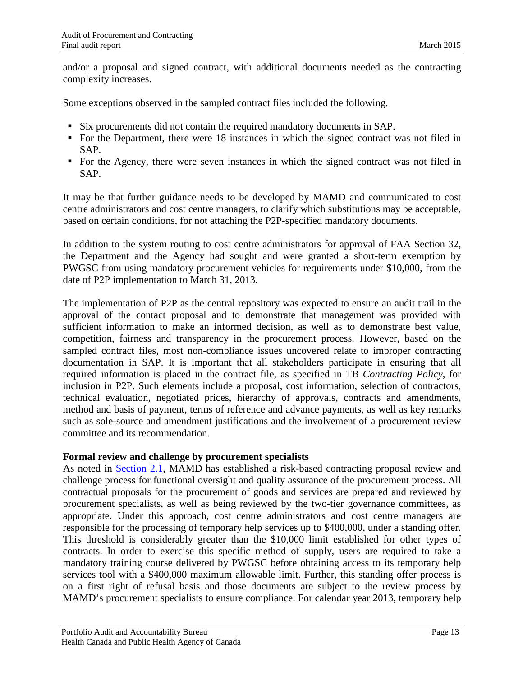and/or a proposal and signed contract, with additional documents needed as the contracting complexity increases.

Some exceptions observed in the sampled contract files included the following.

- Six procurements did not contain the required mandatory documents in SAP.
- For the Department, there were 18 instances in which the signed contract was not filed in SAP.
- For the Agency, there were seven instances in which the signed contract was not filed in SAP.

It may be that further guidance needs to be developed by MAMD and communicated to cost centre administrators and cost centre managers, to clarify which substitutions may be acceptable, based on certain conditions, for not attaching the P2P-specified mandatory documents.

In addition to the system routing to cost centre administrators for approval of FAA Section 32, the Department and the Agency had sought and were granted a short-term exemption by PWGSC from using mandatory procurement vehicles for requirements under \$10,000, from the date of P2P implementation to March 31, 2013.

The implementation of P2P as the central repository was expected to ensure an audit trail in the approval of the contact proposal and to demonstrate that management was provided with sufficient information to make an informed decision, as well as to demonstrate best value, competition, fairness and transparency in the procurement process. However, based on the sampled contract files, most non-compliance issues uncovered relate to improper contracting documentation in SAP. It is important that all stakeholders participate in ensuring that all required information is placed in the contract file, as specified in TB *Contracting Policy*, for inclusion in P2P. Such elements include a proposal, cost information, selection of contractors, technical evaluation, negotiated prices, hierarchy of approvals, contracts and amendments, method and basis of payment, terms of reference and advance payments, as well as key remarks such as sole-source and amendment justifications and the involvement of a procurement review committee and its recommendation.

#### **Formal review and challenge by procurement specialists**

As noted in [Section 2.1,](#page-11-1) MAMD has established a risk-based contracting proposal review and challenge process for functional oversight and quality assurance of the procurement process. All contractual proposals for the procurement of goods and services are prepared and reviewed by procurement specialists, as well as being reviewed by the two-tier governance committees, as appropriate. Under this approach, cost centre administrators and cost centre managers are responsible for the processing of temporary help services up to \$400,000, under a standing offer. This threshold is considerably greater than the \$10,000 limit established for other types of contracts. In order to exercise this specific method of supply, users are required to take a mandatory training course delivered by PWGSC before obtaining access to its temporary help services tool with a \$400,000 maximum allowable limit. Further, this standing offer process is on a first right of refusal basis and those documents are subject to the review process by MAMD's procurement specialists to ensure compliance. For calendar year 2013, temporary help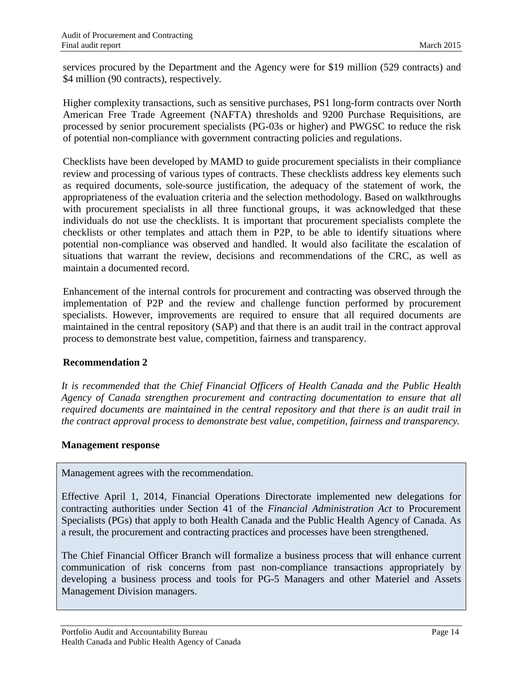services procured by the Department and the Agency were for \$19 million (529 contracts) and \$4 million (90 contracts), respectively.

Higher complexity transactions, such as sensitive purchases, PS1 long-form contracts over North American Free Trade Agreement (NAFTA) thresholds and 9200 Purchase Requisitions, are processed by senior procurement specialists (PG-03s or higher) and PWGSC to reduce the risk of potential non-compliance with government contracting policies and regulations.

Checklists have been developed by MAMD to guide procurement specialists in their compliance review and processing of various types of contracts. These checklists address key elements such as required documents, sole-source justification, the adequacy of the statement of work, the appropriateness of the evaluation criteria and the selection methodology. Based on walkthroughs with procurement specialists in all three functional groups, it was acknowledged that these individuals do not use the checklists. It is important that procurement specialists complete the checklists or other templates and attach them in P2P, to be able to identify situations where potential non-compliance was observed and handled. It would also facilitate the escalation of situations that warrant the review, decisions and recommendations of the CRC, as well as maintain a documented record.

Enhancement of the internal controls for procurement and contracting was observed through the implementation of P2P and the review and challenge function performed by procurement specialists. However, improvements are required to ensure that all required documents are maintained in the central repository (SAP) and that there is an audit trail in the contract approval process to demonstrate best value, competition, fairness and transparency.

#### **Recommendation 2**

*It is recommended that the Chief Financial Officers of Health Canada and the Public Health Agency of Canada strengthen procurement and contracting documentation to ensure that all required documents are maintained in the central repository and that there is an audit trail in the contract approval process to demonstrate best value, competition, fairness and transparency.*

#### **Management response**

Management agrees with the recommendation.

Effective April 1, 2014, Financial Operations Directorate implemented new delegations for contracting authorities under Section 41 of the *Financial Administration Act* to Procurement Specialists (PGs) that apply to both Health Canada and the Public Health Agency of Canada. As a result, the procurement and contracting practices and processes have been strengthened.

The Chief Financial Officer Branch will formalize a business process that will enhance current communication of risk concerns from past non-compliance transactions appropriately by developing a business process and tools for PG-5 Managers and other Materiel and Assets Management Division managers.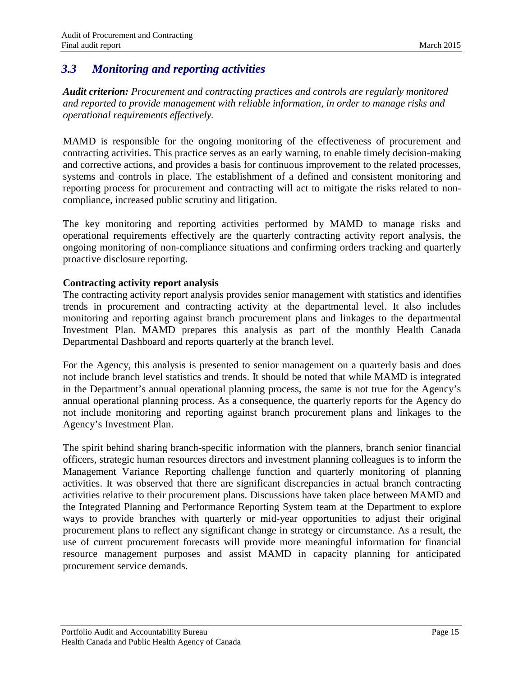## <span id="page-18-0"></span>*3.3 Monitoring and reporting activities*

*Audit criterion: Procurement and contracting practices and controls are regularly monitored and reported to provide management with reliable information, in order to manage risks and operational requirements effectively.*

MAMD is responsible for the ongoing monitoring of the effectiveness of procurement and contracting activities. This practice serves as an early warning, to enable timely decision-making and corrective actions, and provides a basis for continuous improvement to the related processes, systems and controls in place. The establishment of a defined and consistent monitoring and reporting process for procurement and contracting will act to mitigate the risks related to noncompliance, increased public scrutiny and litigation.

The key monitoring and reporting activities performed by MAMD to manage risks and operational requirements effectively are the quarterly contracting activity report analysis, the ongoing monitoring of non-compliance situations and confirming orders tracking and quarterly proactive disclosure reporting.

#### **Contracting activity report analysis**

The contracting activity report analysis provides senior management with statistics and identifies trends in procurement and contracting activity at the departmental level. It also includes monitoring and reporting against branch procurement plans and linkages to the departmental Investment Plan. MAMD prepares this analysis as part of the monthly Health Canada Departmental Dashboard and reports quarterly at the branch level.

For the Agency, this analysis is presented to senior management on a quarterly basis and does not include branch level statistics and trends. It should be noted that while MAMD is integrated in the Department's annual operational planning process, the same is not true for the Agency's annual operational planning process. As a consequence, the quarterly reports for the Agency do not include monitoring and reporting against branch procurement plans and linkages to the Agency's Investment Plan.

The spirit behind sharing branch-specific information with the planners, branch senior financial officers, strategic human resources directors and investment planning colleagues is to inform the Management Variance Reporting challenge function and quarterly monitoring of planning activities. It was observed that there are significant discrepancies in actual branch contracting activities relative to their procurement plans. Discussions have taken place between MAMD and the Integrated Planning and Performance Reporting System team at the Department to explore ways to provide branches with quarterly or mid-year opportunities to adjust their original procurement plans to reflect any significant change in strategy or circumstance. As a result, the use of current procurement forecasts will provide more meaningful information for financial resource management purposes and assist MAMD in capacity planning for anticipated procurement service demands.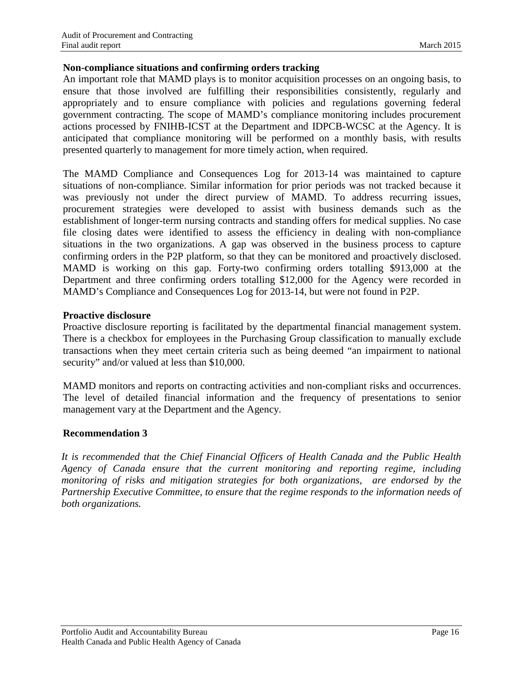#### **Non-compliance situations and confirming orders tracking**

An important role that MAMD plays is to monitor acquisition processes on an ongoing basis, to ensure that those involved are fulfilling their responsibilities consistently, regularly and appropriately and to ensure compliance with policies and regulations governing federal government contracting. The scope of MAMD's compliance monitoring includes procurement actions processed by FNIHB-ICST at the Department and IDPCB-WCSC at the Agency. It is anticipated that compliance monitoring will be performed on a monthly basis, with results presented quarterly to management for more timely action, when required.

The MAMD Compliance and Consequences Log for 2013-14 was maintained to capture situations of non-compliance. Similar information for prior periods was not tracked because it was previously not under the direct purview of MAMD. To address recurring issues, procurement strategies were developed to assist with business demands such as the establishment of longer-term nursing contracts and standing offers for medical supplies. No case file closing dates were identified to assess the efficiency in dealing with non-compliance situations in the two organizations. A gap was observed in the business process to capture confirming orders in the P2P platform, so that they can be monitored and proactively disclosed. MAMD is working on this gap. Forty-two confirming orders totalling \$913,000 at the Department and three confirming orders totalling \$12,000 for the Agency were recorded in MAMD's Compliance and Consequences Log for 2013-14, but were not found in P2P.

#### **Proactive disclosure**

Proactive disclosure reporting is facilitated by the departmental financial management system. There is a checkbox for employees in the Purchasing Group classification to manually exclude transactions when they meet certain criteria such as being deemed "an impairment to national security" and/or valued at less than \$10,000.

MAMD monitors and reports on contracting activities and non-compliant risks and occurrences. The level of detailed financial information and the frequency of presentations to senior management vary at the Department and the Agency.

### <span id="page-19-0"></span>**Recommendation 3**

*It is recommended that the Chief Financial Officers of Health Canada and the Public Health Agency of Canada ensure that the current monitoring and reporting regime, including monitoring of risks and mitigation strategies for both organizations, are endorsed by the Partnership Executive Committee, to ensure that the regime responds to the information needs of both organizations.*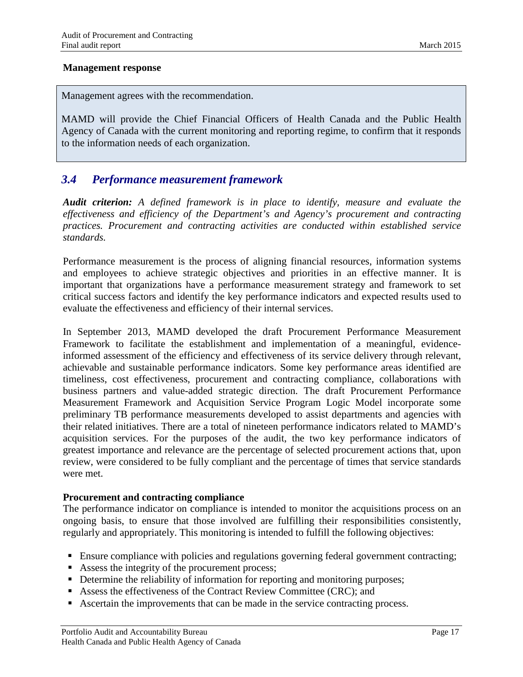#### **Management response**

Management agrees with the recommendation.

MAMD will provide the Chief Financial Officers of Health Canada and the Public Health Agency of Canada with the current monitoring and reporting regime, to confirm that it responds to the information needs of each organization.

### <span id="page-20-0"></span>*3.4 Performance measurement framework*

*Audit criterion: A defined framework is in place to identify, measure and evaluate the effectiveness and efficiency of the Department's and Agency's procurement and contracting practices. Procurement and contracting activities are conducted within established service standards.*

Performance measurement is the process of aligning financial resources, information systems and employees to achieve strategic objectives and priorities in an effective manner. It is important that organizations have a performance measurement strategy and framework to set critical success factors and identify the key performance indicators and expected results used to evaluate the effectiveness and efficiency of their internal services.

In September 2013, MAMD developed the draft Procurement Performance Measurement Framework to facilitate the establishment and implementation of a meaningful, evidenceinformed assessment of the efficiency and effectiveness of its service delivery through relevant, achievable and sustainable performance indicators. Some key performance areas identified are timeliness, cost effectiveness, procurement and contracting compliance, collaborations with business partners and value-added strategic direction. The draft Procurement Performance Measurement Framework and Acquisition Service Program Logic Model incorporate some preliminary TB performance measurements developed to assist departments and agencies with their related initiatives. There are a total of nineteen performance indicators related to MAMD's acquisition services. For the purposes of the audit, the two key performance indicators of greatest importance and relevance are the percentage of selected procurement actions that, upon review, were considered to be fully compliant and the percentage of times that service standards were met.

#### **Procurement and contracting compliance**

The performance indicator on compliance is intended to monitor the acquisitions process on an ongoing basis, to ensure that those involved are fulfilling their responsibilities consistently, regularly and appropriately. This monitoring is intended to fulfill the following objectives:

- Ensure compliance with policies and regulations governing federal government contracting;
- Assess the integrity of the procurement process;
- Determine the reliability of information for reporting and monitoring purposes;
- Assess the effectiveness of the Contract Review Committee (CRC); and
- Ascertain the improvements that can be made in the service contracting process.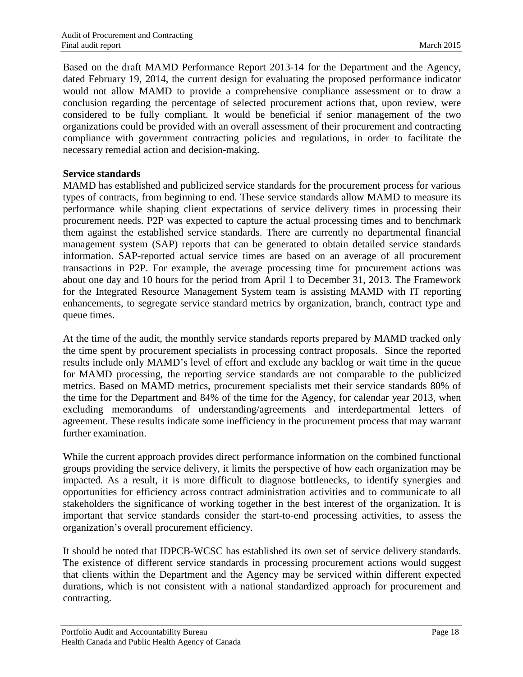Based on the draft MAMD Performance Report 2013-14 for the Department and the Agency, dated February 19, 2014, the current design for evaluating the proposed performance indicator would not allow MAMD to provide a comprehensive compliance assessment or to draw a conclusion regarding the percentage of selected procurement actions that, upon review, were considered to be fully compliant. It would be beneficial if senior management of the two organizations could be provided with an overall assessment of their procurement and contracting compliance with government contracting policies and regulations, in order to facilitate the necessary remedial action and decision-making.

#### **Service standards**

MAMD has established and publicized service standards for the procurement process for various types of contracts, from beginning to end. These service standards allow MAMD to measure its performance while shaping client expectations of service delivery times in processing their procurement needs. P2P was expected to capture the actual processing times and to benchmark them against the established service standards. There are currently no departmental financial management system (SAP) reports that can be generated to obtain detailed service standards information. SAP-reported actual service times are based on an average of all procurement transactions in P2P. For example, the average processing time for procurement actions was about one day and 10 hours for the period from April 1 to December 31, 2013. The Framework for the Integrated Resource Management System team is assisting MAMD with IT reporting enhancements, to segregate service standard metrics by organization, branch, contract type and queue times.

At the time of the audit, the monthly service standards reports prepared by MAMD tracked only the time spent by procurement specialists in processing contract proposals. Since the reported results include only MAMD's level of effort and exclude any backlog or wait time in the queue for MAMD processing, the reporting service standards are not comparable to the publicized metrics. Based on MAMD metrics, procurement specialists met their service standards 80% of the time for the Department and 84% of the time for the Agency, for calendar year 2013, when excluding memorandums of understanding/agreements and interdepartmental letters of agreement. These results indicate some inefficiency in the procurement process that may warrant further examination.

While the current approach provides direct performance information on the combined functional groups providing the service delivery, it limits the perspective of how each organization may be impacted. As a result, it is more difficult to diagnose bottlenecks, to identify synergies and opportunities for efficiency across contract administration activities and to communicate to all stakeholders the significance of working together in the best interest of the organization. It is important that service standards consider the start-to-end processing activities, to assess the organization's overall procurement efficiency.

It should be noted that IDPCB-WCSC has established its own set of service delivery standards. The existence of different service standards in processing procurement actions would suggest that clients within the Department and the Agency may be serviced within different expected durations, which is not consistent with a national standardized approach for procurement and contracting.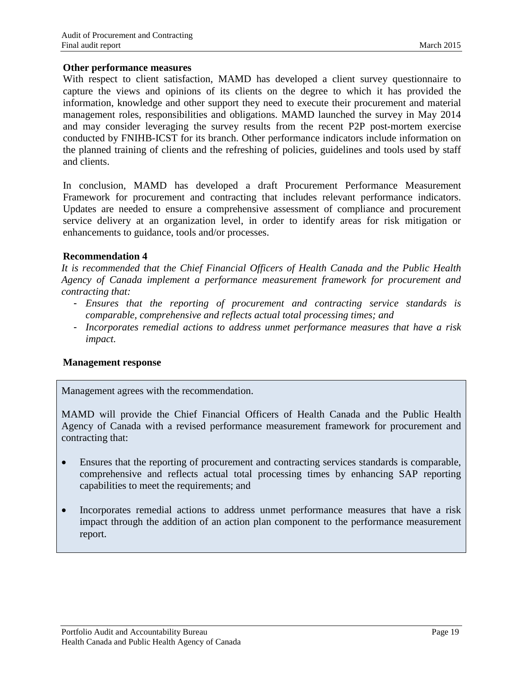#### **Other performance measures**

With respect to client satisfaction, MAMD has developed a client survey questionnaire to capture the views and opinions of its clients on the degree to which it has provided the information, knowledge and other support they need to execute their procurement and material management roles, responsibilities and obligations. MAMD launched the survey in May 2014 and may consider leveraging the survey results from the recent P2P post-mortem exercise conducted by FNIHB-ICST for its branch. Other performance indicators include information on the planned training of clients and the refreshing of policies, guidelines and tools used by staff and clients.

In conclusion, MAMD has developed a draft Procurement Performance Measurement Framework for procurement and contracting that includes relevant performance indicators. Updates are needed to ensure a comprehensive assessment of compliance and procurement service delivery at an organization level, in order to identify areas for risk mitigation or enhancements to guidance, tools and/or processes.

#### **Recommendation 4**

*It is recommended that the Chief Financial Officers of Health Canada and the Public Health Agency of Canada implement a performance measurement framework for procurement and contracting that:*

- *Ensures that the reporting of procurement and contracting service standards is comparable, comprehensive and reflects actual total processing times; and*
- *Incorporates remedial actions to address unmet performance measures that have a risk impact.*

#### **Management response**

Management agrees with the recommendation.

MAMD will provide the Chief Financial Officers of Health Canada and the Public Health Agency of Canada with a revised performance measurement framework for procurement and contracting that:

- Ensures that the reporting of procurement and contracting services standards is comparable, comprehensive and reflects actual total processing times by enhancing SAP reporting capabilities to meet the requirements; and
- Incorporates remedial actions to address unmet performance measures that have a risk impact through the addition of an action plan component to the performance measurement report.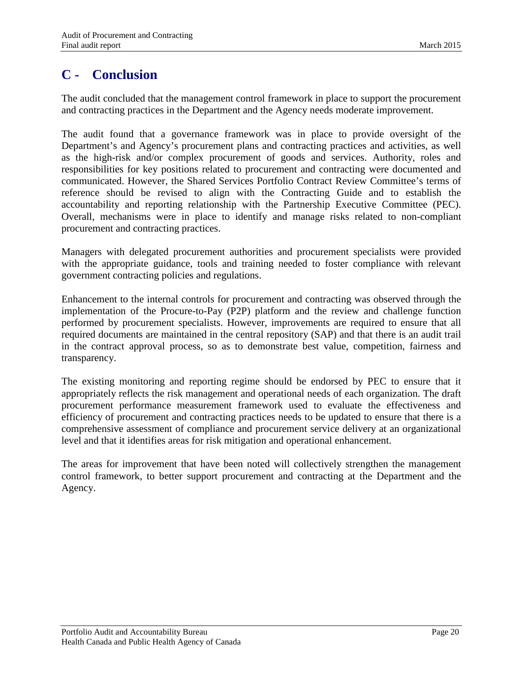# <span id="page-23-0"></span>**C - Conclusion**

The audit concluded that the management control framework in place to support the procurement and contracting practices in the Department and the Agency needs moderate improvement.

The audit found that a governance framework was in place to provide oversight of the Department's and Agency's procurement plans and contracting practices and activities, as well as the high-risk and/or complex procurement of goods and services. Authority, roles and responsibilities for key positions related to procurement and contracting were documented and communicated. However, the Shared Services Portfolio Contract Review Committee's terms of reference should be revised to align with the Contracting Guide and to establish the accountability and reporting relationship with the Partnership Executive Committee (PEC). Overall, mechanisms were in place to identify and manage risks related to non-compliant procurement and contracting practices.

Managers with delegated procurement authorities and procurement specialists were provided with the appropriate guidance, tools and training needed to foster compliance with relevant government contracting policies and regulations.

Enhancement to the internal controls for procurement and contracting was observed through the implementation of the Procure-to-Pay (P2P) platform and the review and challenge function performed by procurement specialists. However, improvements are required to ensure that all required documents are maintained in the central repository (SAP) and that there is an audit trail in the contract approval process, so as to demonstrate best value, competition, fairness and transparency.

The existing monitoring and reporting regime should be endorsed by PEC to ensure that it appropriately reflects the risk management and operational needs of each organization. The draft procurement performance measurement framework used to evaluate the effectiveness and efficiency of procurement and contracting practices needs to be updated to ensure that there is a comprehensive assessment of compliance and procurement service delivery at an organizational level and that it identifies areas for risk mitigation and operational enhancement.

The areas for improvement that have been noted will collectively strengthen the management control framework, to better support procurement and contracting at the Department and the Agency.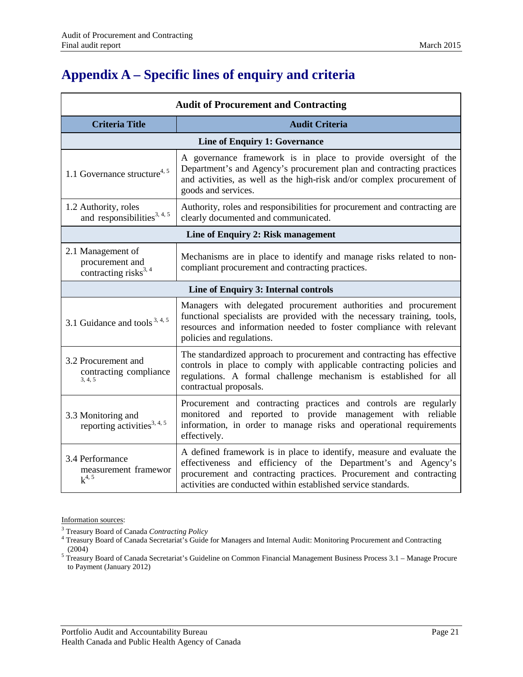# <span id="page-24-0"></span>**Appendix A – Specific lines of enquiry and criteria**

| <b>Audit of Procurement and Contracting</b>                        |                                                                                                                                                                                                                                                                                |  |  |  |
|--------------------------------------------------------------------|--------------------------------------------------------------------------------------------------------------------------------------------------------------------------------------------------------------------------------------------------------------------------------|--|--|--|
| <b>Criteria Title</b>                                              | <b>Audit Criteria</b>                                                                                                                                                                                                                                                          |  |  |  |
|                                                                    | <b>Line of Enquiry 1: Governance</b>                                                                                                                                                                                                                                           |  |  |  |
| 1.1 Governance structure <sup>4, 5</sup>                           | A governance framework is in place to provide oversight of the<br>Department's and Agency's procurement plan and contracting practices<br>and activities, as well as the high-risk and/or complex procurement of<br>goods and services.                                        |  |  |  |
| 1.2 Authority, roles<br>and responsibilities <sup>3, 4, 5</sup>    | Authority, roles and responsibilities for procurement and contracting are<br>clearly documented and communicated.                                                                                                                                                              |  |  |  |
| Line of Enquiry 2: Risk management                                 |                                                                                                                                                                                                                                                                                |  |  |  |
| 2.1 Management of<br>procurement and<br>contracting risks $^{3,4}$ | Mechanisms are in place to identify and manage risks related to non-<br>compliant procurement and contracting practices.                                                                                                                                                       |  |  |  |
|                                                                    | Line of Enquiry 3: Internal controls                                                                                                                                                                                                                                           |  |  |  |
| 3.1 Guidance and tools $3, 4, 5$                                   | Managers with delegated procurement authorities and procurement<br>functional specialists are provided with the necessary training, tools,<br>resources and information needed to foster compliance with relevant<br>policies and regulations.                                 |  |  |  |
| 3.2 Procurement and<br>contracting compliance<br>3, 4, 5           | The standardized approach to procurement and contracting has effective<br>controls in place to comply with applicable contracting policies and<br>regulations. A formal challenge mechanism is established for all<br>contractual proposals.                                   |  |  |  |
| 3.3 Monitoring and<br>reporting activities <sup>3, 4, 5</sup>      | Procurement and contracting practices and controls are regularly<br>monitored and reported to provide management with reliable<br>information, in order to manage risks and operational requirements<br>effectively.                                                           |  |  |  |
| 3.4 Performance<br>measurement framewor<br>$k^{4, 5}$              | A defined framework is in place to identify, measure and evaluate the<br>effectiveness and efficiency of the Department's and Agency's<br>procurement and contracting practices. Procurement and contracting<br>activities are conducted within established service standards. |  |  |  |

Information sources:

<sup>&</sup>lt;sup>3</sup> Treasury Board of Canada *Contracting Policy* 4 Treasury Board of Canada Secretariat's Guide for Managers and Internal Audit: Monitoring Procurement and Contracting

<sup>(2004)&</sup>lt;br><sup>5</sup> Treasury Board of Canada Secretariat's Guideline on Common Financial Management Business Process 3.1 – Manage Procure to Payment (January 2012)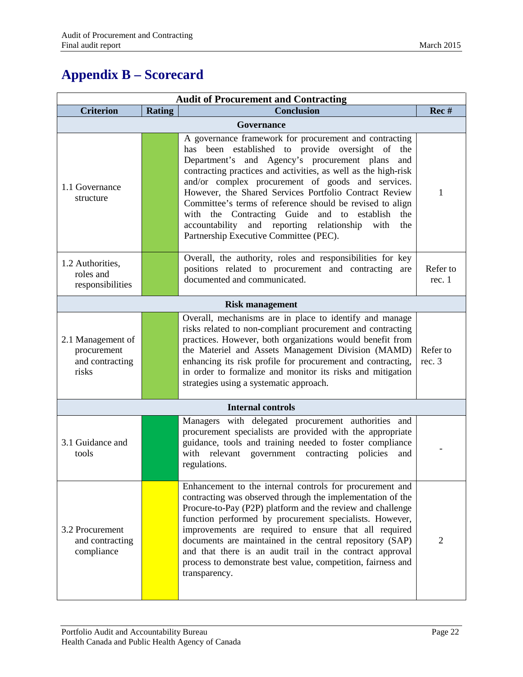# <span id="page-25-0"></span>**Appendix B – Scorecard**

| <b>Audit of Procurement and Contracting</b>                  |               |                                                                                                                                                                                                                                                                                                                                                                                                                                                                                                                                                                                  |                    |  |  |
|--------------------------------------------------------------|---------------|----------------------------------------------------------------------------------------------------------------------------------------------------------------------------------------------------------------------------------------------------------------------------------------------------------------------------------------------------------------------------------------------------------------------------------------------------------------------------------------------------------------------------------------------------------------------------------|--------------------|--|--|
| <b>Criterion</b>                                             | <b>Rating</b> | <b>Conclusion</b>                                                                                                                                                                                                                                                                                                                                                                                                                                                                                                                                                                | Rec #              |  |  |
| <b>Governance</b>                                            |               |                                                                                                                                                                                                                                                                                                                                                                                                                                                                                                                                                                                  |                    |  |  |
| 1.1 Governance<br>structure                                  |               | A governance framework for procurement and contracting<br>has been established to provide oversight of the<br>Department's and Agency's procurement plans<br>and<br>contracting practices and activities, as well as the high-risk<br>and/or complex procurement of goods and services.<br>However, the Shared Services Portfolio Contract Review<br>Committee's terms of reference should be revised to align<br>with the Contracting Guide<br>and to establish<br>the<br>and reporting relationship<br>accountability<br>with<br>the<br>Partnership Executive Committee (PEC). | 1                  |  |  |
| 1.2 Authorities,<br>roles and<br>responsibilities            |               | Overall, the authority, roles and responsibilities for key<br>positions related to procurement and contracting are<br>documented and communicated.                                                                                                                                                                                                                                                                                                                                                                                                                               | Refer to<br>rec.1  |  |  |
|                                                              |               | <b>Risk management</b>                                                                                                                                                                                                                                                                                                                                                                                                                                                                                                                                                           |                    |  |  |
| 2.1 Management of<br>procurement<br>and contracting<br>risks |               | Overall, mechanisms are in place to identify and manage<br>risks related to non-compliant procurement and contracting<br>practices. However, both organizations would benefit from<br>the Materiel and Assets Management Division (MAMD)<br>enhancing its risk profile for procurement and contracting,<br>in order to formalize and monitor its risks and mitigation<br>strategies using a systematic approach.                                                                                                                                                                 | Refer to<br>rec. 3 |  |  |
|                                                              |               | <b>Internal controls</b>                                                                                                                                                                                                                                                                                                                                                                                                                                                                                                                                                         |                    |  |  |
| 3.1 Guidance and<br>tools                                    |               | Managers with delegated procurement authorities and<br>procurement specialists are provided with the appropriate<br>guidance, tools and training needed to foster compliance<br>with relevant government contracting policies<br>and<br>regulations.                                                                                                                                                                                                                                                                                                                             |                    |  |  |
| 3.2 Procurement<br>and contracting<br>compliance             |               | Enhancement to the internal controls for procurement and<br>contracting was observed through the implementation of the<br>Procure-to-Pay (P2P) platform and the review and challenge<br>function performed by procurement specialists. However,<br>improvements are required to ensure that all required<br>documents are maintained in the central repository (SAP)<br>and that there is an audit trail in the contract approval<br>process to demonstrate best value, competition, fairness and<br>transparency.                                                               | $\overline{2}$     |  |  |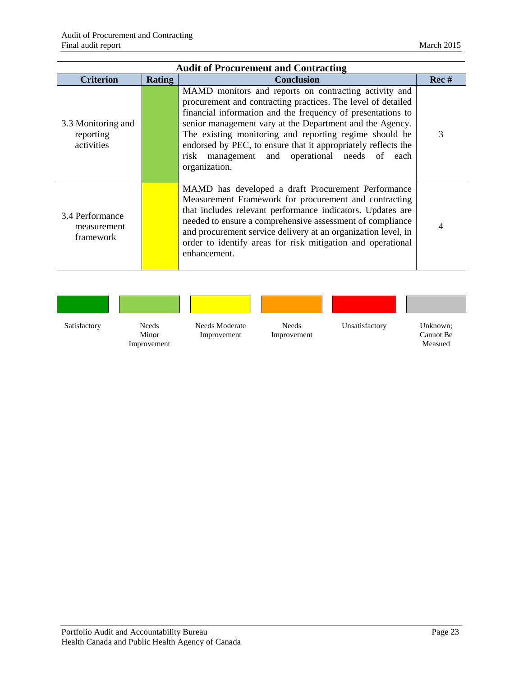| <b>Audit of Procurement and Contracting</b>   |               |                                                                                                                                                                                                                                                                                                                                                                                                                                               |      |  |  |
|-----------------------------------------------|---------------|-----------------------------------------------------------------------------------------------------------------------------------------------------------------------------------------------------------------------------------------------------------------------------------------------------------------------------------------------------------------------------------------------------------------------------------------------|------|--|--|
| <b>Criterion</b>                              | <b>Rating</b> | <b>Conclusion</b>                                                                                                                                                                                                                                                                                                                                                                                                                             | Rec# |  |  |
| 3.3 Monitoring and<br>reporting<br>activities |               | MAMD monitors and reports on contracting activity and<br>procurement and contracting practices. The level of detailed<br>financial information and the frequency of presentations to<br>senior management vary at the Department and the Agency.<br>The existing monitoring and reporting regime should be<br>endorsed by PEC, to ensure that it appropriately reflects the<br>risk management and operational needs of each<br>organization. | 3    |  |  |
| 3.4 Performance<br>measurement<br>framework   |               | MAMD has developed a draft Procurement Performance<br>Measurement Framework for procurement and contracting<br>that includes relevant performance indicators. Updates are<br>needed to ensure a comprehensive assessment of compliance<br>and procurement service delivery at an organization level, in<br>order to identify areas for risk mitigation and operational<br>enhancement.                                                        |      |  |  |

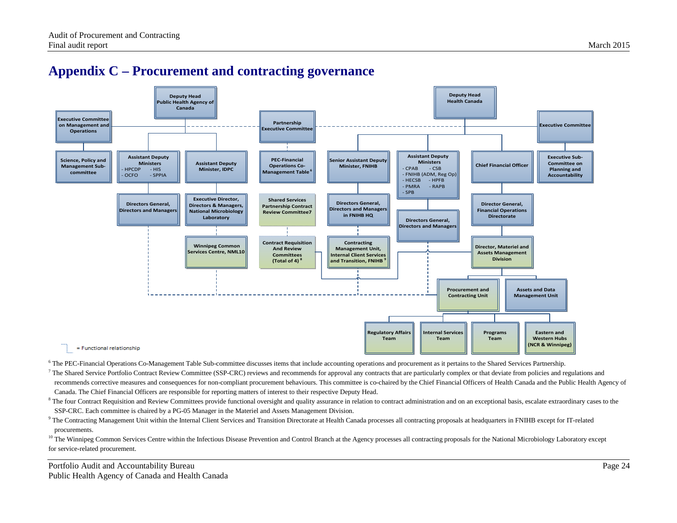## **Appendix C – Procurement and contracting governance**



<span id="page-27-0"></span>

<sup>6</sup> The PEC-Financial Operations Co-Management Table Sub-committee discusses items that include accounting operations and procurement as it pertains to the Shared Services Partnership.

<sup>7</sup> The Shared Service Portfolio Contract Review Committee (SSP-CRC) reviews and recommends for approval any contracts that are particularly complex or that deviate from policies and regulations and recommends corrective measures and consequences for non-compliant procurement behaviours. This committee is co-chaired by the Chief Financial Officers of Health Canada and the Public Health Agency of Canada. The Chief Financial Officers are responsible for reporting matters of interest to their respective Deputy Head.

<sup>8</sup> The four Contract Requisition and Review Committees provide functional oversight and quality assurance in relation to contract administration and on an exceptional basis, escalate extraordinary cases to the SSP-CRC. Each committee is chaired by a PG-05 Manager in the Materiel and Assets Management Division.

<sup>9</sup> The Contracting Management Unit within the Internal Client Services and Transition Directorate at Health Canada processes all contracting proposals at headquarters in FNIHB except for IT-related procurements.

<sup>10</sup> The Winnipeg Common Services Centre within the Infectious Disease Prevention and Control Branch at the Agency processes all contracting proposals for the National Microbiology Laboratory except for service-related procurement.

Portfolio Audit and Accountability Bureau Page 24 Public Health Agency of Canada and Health Canada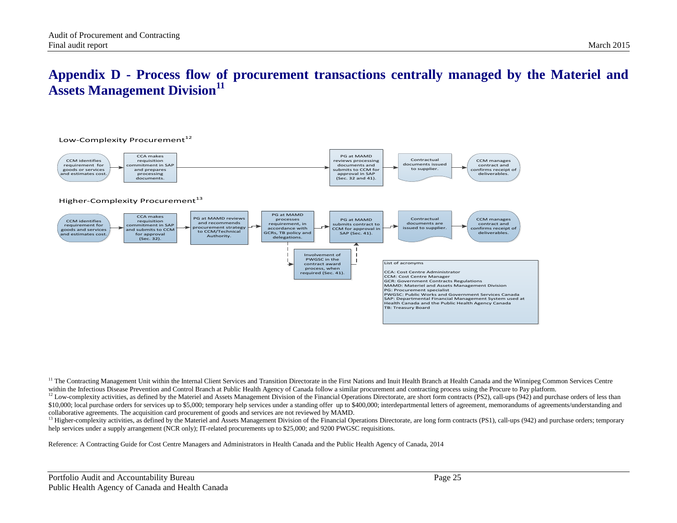## **Appendix D - Process flow of procurement transactions centrally managed by the Materiel and Assets Management Division<sup>11</sup>**



<span id="page-28-0"></span>

<sup>11</sup> The Contracting Management Unit within the Internal Client Services and Transition Directorate in the First Nations and Inuit Health Branch at Health Canada and the Winnipeg Common Services Centre within the Infectious Disease Prevention and Control Branch at Public Health Agency of Canada follow a similar procurement and contracting process using the Procure to Pay platform.

<sup>12</sup> Low-complexity activities, as defined by the Materiel and Assets Management Division of the Financial Operations Directorate, are short form contracts (PS2), call-ups (942) and purchase orders of less than \$10,000; local purchase orders for services up to \$5,000; temporary help services under a standing offer up to \$400,000; interdepartmental letters of agreement, memorandums of agreements/understanding and collaborative agreements. The acquisition card procurement of goods and services are not reviewed by MAMD.

<sup>13</sup> Higher-complexity activities, as defined by the Materiel and Assets Management Division of the Financial Operations Directorate, are long form contracts (PS1), call-ups (942) and purchase orders; temporary help services under a supply arrangement (NCR only); IT-related procurements up to \$25,000; and 9200 PWGSC requisitions.

Reference: A Contracting Guide for Cost Centre Managers and Administrators in Health Canada and the Public Health Agency of Canada, 2014